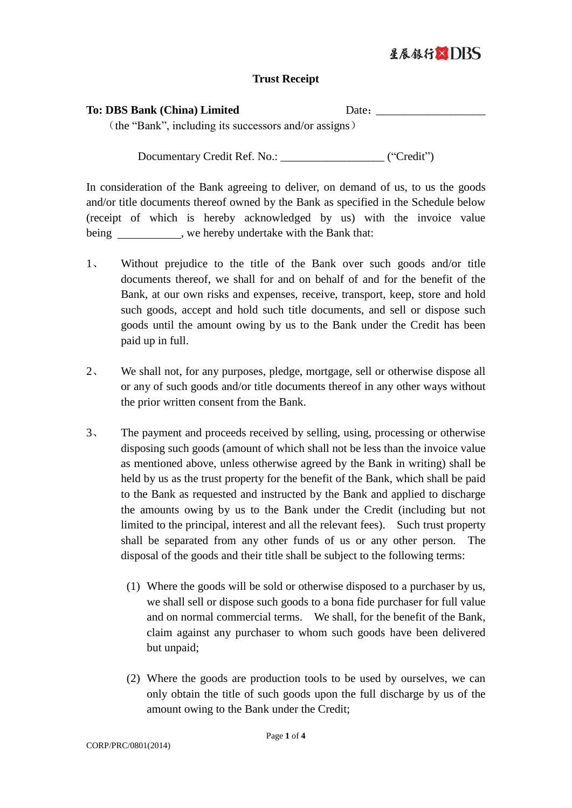## 星展银行XDRS

## **Trust Receipt**

| <b>To: DBS Bank (China) Limited</b> |
|-------------------------------------|
|-------------------------------------|

Date:

(the "Bank", including its successors and/or assigns)

Documentary Credit Ref. No.: \_\_\_\_\_\_\_\_\_\_\_\_\_\_\_\_\_\_\_\_\_\_ ("Credit")

In consideration of the Bank agreeing to deliver, on demand of us, to us the goods and/or title documents thereof owned by the Bank as specified in the Schedule below (receipt of which is hereby acknowledged by us) with the invoice value being , we hereby undertake with the Bank that:

- 1、 Without prejudice to the title of the Bank over such goods and/or title documents thereof, we shall for and on behalf of and for the benefit of the Bank, at our own risks and expenses, receive, transport, keep, store and hold such goods, accept and hold such title documents, and sell or dispose such goods until the amount owing by us to the Bank under the Credit has been paid up in full.
- 2、 We shall not, for any purposes, pledge, mortgage, sell or otherwise dispose all or any of such goods and/or title documents thereof in any other ways without the prior written consent from the Bank.
- 3、 The payment and proceeds received by selling, using, processing or otherwise disposing such goods (amount of which shall not be less than the invoice value as mentioned above, unless otherwise agreed by the Bank in writing) shall be held by us as the trust property for the benefit of the Bank, which shall be paid to the Bank as requested and instructed by the Bank and applied to discharge the amounts owing by us to the Bank under the Credit (including but not limited to the principal, interest and all the relevant fees). Such trust property shall be separated from any other funds of us or any other person. The disposal of the goods and their title shall be subject to the following terms:
	- (1) Where the goods will be sold or otherwise disposed to a purchaser by us, we shall sell or dispose such goods to a bona fide purchaser for full value and on normal commercial terms. We shall, for the benefit of the Bank, claim against any purchaser to whom such goods have been delivered but unpaid;
	- (2) Where the goods are production tools to be used by ourselves, we can only obtain the title of such goods upon the full discharge by us of the amount owing to the Bank under the Credit;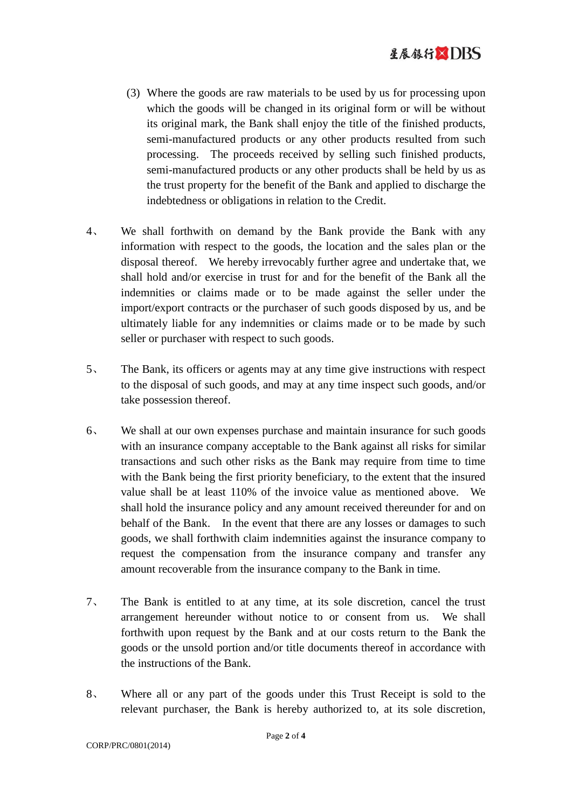- (3) Where the goods are raw materials to be used by us for processing upon which the goods will be changed in its original form or will be without its original mark, the Bank shall enjoy the title of the finished products, semi-manufactured products or any other products resulted from such processing. The proceeds received by selling such finished products, semi-manufactured products or any other products shall be held by us as the trust property for the benefit of the Bank and applied to discharge the indebtedness or obligations in relation to the Credit.
- 4、 We shall forthwith on demand by the Bank provide the Bank with any information with respect to the goods, the location and the sales plan or the disposal thereof. We hereby irrevocably further agree and undertake that, we shall hold and/or exercise in trust for and for the benefit of the Bank all the indemnities or claims made or to be made against the seller under the import/export contracts or the purchaser of such goods disposed by us, and be ultimately liable for any indemnities or claims made or to be made by such seller or purchaser with respect to such goods.
- 5、 The Bank, its officers or agents may at any time give instructions with respect to the disposal of such goods, and may at any time inspect such goods, and/or take possession thereof.
- 6、 We shall at our own expenses purchase and maintain insurance for such goods with an insurance company acceptable to the Bank against all risks for similar transactions and such other risks as the Bank may require from time to time with the Bank being the first priority beneficiary, to the extent that the insured value shall be at least 110% of the invoice value as mentioned above. We shall hold the insurance policy and any amount received thereunder for and on behalf of the Bank. In the event that there are any losses or damages to such goods, we shall forthwith claim indemnities against the insurance company to request the compensation from the insurance company and transfer any amount recoverable from the insurance company to the Bank in time.
- 7、 The Bank is entitled to at any time, at its sole discretion, cancel the trust arrangement hereunder without notice to or consent from us. We shall forthwith upon request by the Bank and at our costs return to the Bank the goods or the unsold portion and/or title documents thereof in accordance with the instructions of the Bank.
- 8、 Where all or any part of the goods under this Trust Receipt is sold to the relevant purchaser, the Bank is hereby authorized to, at its sole discretion,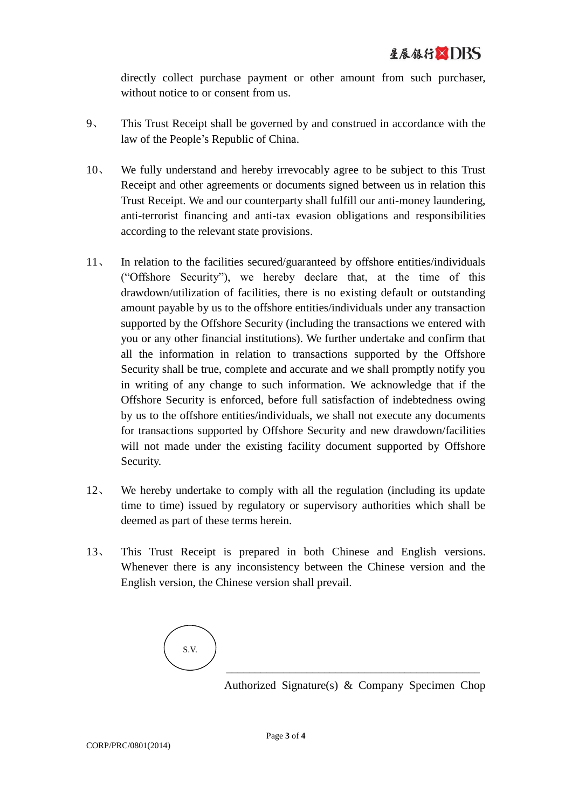directly collect purchase payment or other amount from such purchaser, without notice to or consent from us.

- 9、 This Trust Receipt shall be governed by and construed in accordance with the law of the People's Republic of China.
- 10、 We fully understand and hereby irrevocably agree to be subject to this Trust Receipt and other agreements or documents signed between us in relation this Trust Receipt. We and our counterparty shall fulfill our anti-money laundering, anti-terrorist financing and anti-tax evasion obligations and responsibilities according to the relevant state provisions.
- 11、 In relation to the facilities secured/guaranteed by offshore entities/individuals ("Offshore Security"), we hereby declare that, at the time of this drawdown/utilization of facilities, there is no existing default or outstanding amount payable by us to the offshore entities/individuals under any transaction supported by the Offshore Security (including the transactions we entered with you or any other financial institutions). We further undertake and confirm that all the information in relation to transactions supported by the Offshore Security shall be true, complete and accurate and we shall promptly notify you in writing of any change to such information. We acknowledge that if the Offshore Security is enforced, before full satisfaction of indebtedness owing by us to the offshore entities/individuals, we shall not execute any documents for transactions supported by Offshore Security and new drawdown/facilities will not made under the existing facility document supported by Offshore Security.
- 12、 We hereby undertake to comply with all the regulation (including its update time to time) issued by regulatory or supervisory authorities which shall be deemed as part of these terms herein.
- 13、 This Trust Receipt is prepared in both Chinese and English versions. Whenever there is any inconsistency between the Chinese version and the English version, the Chinese version shall prevail.



Authorized Signature(s) & Company Specimen Chop

\_\_\_\_\_\_\_\_\_\_\_\_\_\_\_\_\_\_\_\_\_\_\_\_\_\_\_\_\_\_\_\_\_\_\_\_\_\_\_\_\_\_\_\_